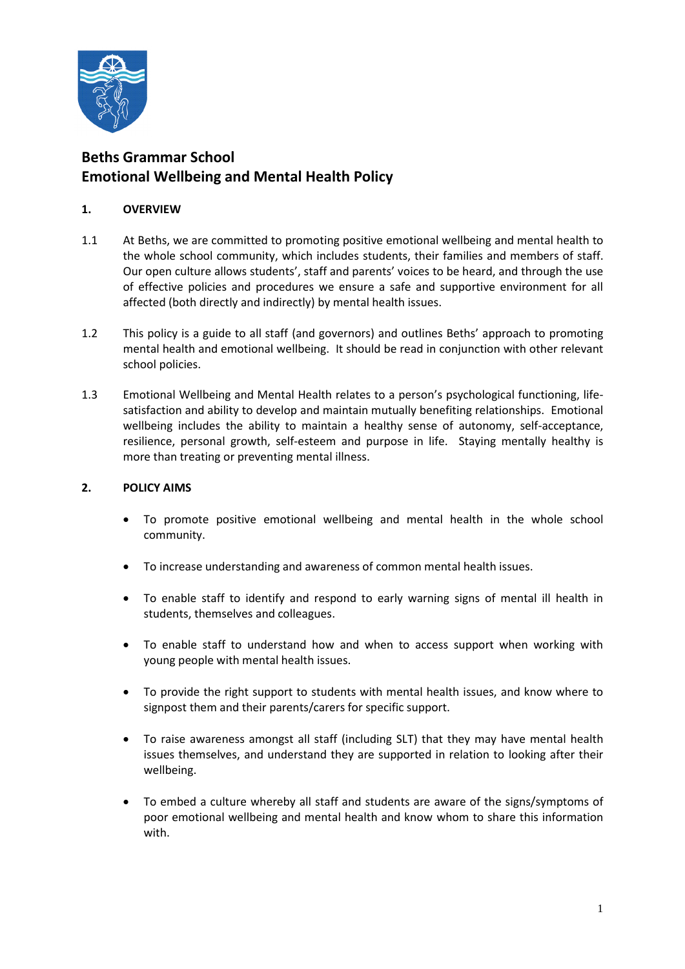

## **Beths Grammar School Emotional Wellbeing and Mental Health Policy**

## **1. OVERVIEW**

- 1.1 At Beths, we are committed to promoting positive emotional wellbeing and mental health to the whole school community, which includes students, their families and members of staff. Our open culture allows students', staff and parents' voices to be heard, and through the use of effective policies and procedures we ensure a safe and supportive environment for all affected (both directly and indirectly) by mental health issues.
- 1.2 This policy is a guide to all staff (and governors) and outlines Beths' approach to promoting mental health and emotional wellbeing. It should be read in conjunction with other relevant school policies.
- 1.3 Emotional Wellbeing and Mental Health relates to a person's psychological functioning, lifesatisfaction and ability to develop and maintain mutually benefiting relationships. Emotional wellbeing includes the ability to maintain a healthy sense of autonomy, self-acceptance, resilience, personal growth, self-esteem and purpose in life. Staying mentally healthy is more than treating or preventing mental illness.

## **2. POLICY AIMS**

- To promote positive emotional wellbeing and mental health in the whole school community.
- To increase understanding and awareness of common mental health issues.
- To enable staff to identify and respond to early warning signs of mental ill health in students, themselves and colleagues.
- To enable staff to understand how and when to access support when working with young people with mental health issues.
- To provide the right support to students with mental health issues, and know where to signpost them and their parents/carers for specific support.
- To raise awareness amongst all staff (including SLT) that they may have mental health issues themselves, and understand they are supported in relation to looking after their wellbeing.
- To embed a culture whereby all staff and students are aware of the signs/symptoms of poor emotional wellbeing and mental health and know whom to share this information with.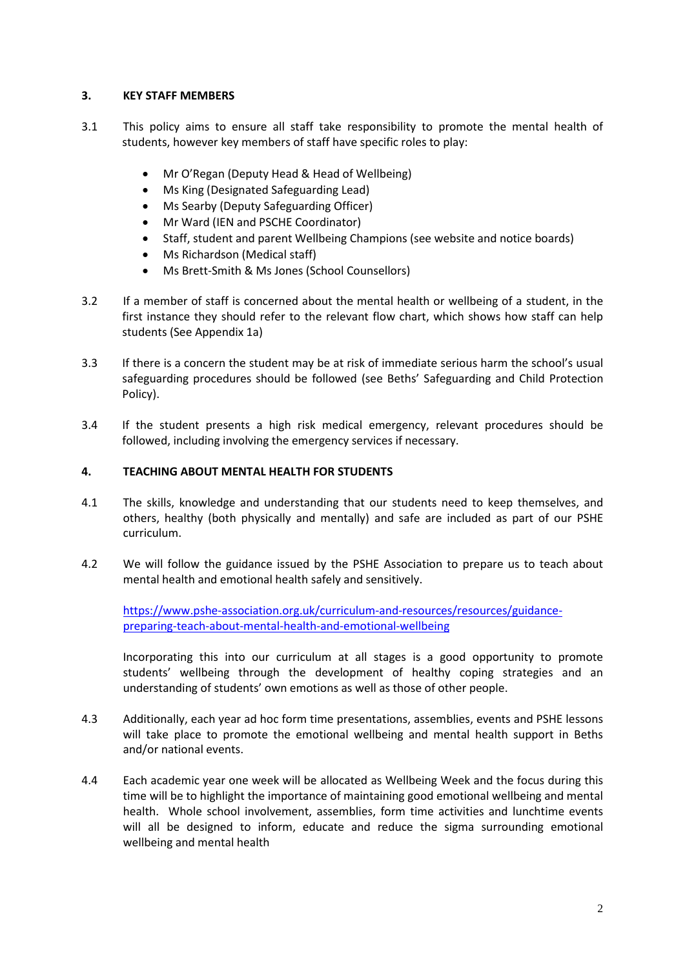## **3. KEY STAFF MEMBERS**

- 3.1 This policy aims to ensure all staff take responsibility to promote the mental health of students, however key members of staff have specific roles to play:
	- Mr O'Regan (Deputy Head & Head of Wellbeing)
	- Ms King (Designated Safeguarding Lead)
	- Ms Searby (Deputy Safeguarding Officer)
	- Mr Ward (IEN and PSCHE Coordinator)
	- Staff, student and parent Wellbeing Champions (see website and notice boards)
	- Ms Richardson (Medical staff)
	- Ms Brett-Smith & Ms Jones (School Counsellors)
- 3.2 If a member of staff is concerned about the mental health or wellbeing of a student, in the first instance they should refer to the relevant flow chart, which shows how staff can help students (See Appendix 1a)
- 3.3 If there is a concern the student may be at risk of immediate serious harm the school's usual safeguarding procedures should be followed (see Beths' Safeguarding and Child Protection Policy).
- 3.4 If the student presents a high risk medical emergency, relevant procedures should be followed, including involving the emergency services if necessary.

## **4. TEACHING ABOUT MENTAL HEALTH FOR STUDENTS**

- 4.1 The skills, knowledge and understanding that our students need to keep themselves, and others, healthy (both physically and mentally) and safe are included as part of our PSHE curriculum.
- 4.2 We will follow the guidance issued by the PSHE Association to prepare us to teach about mental health and emotional health safely and sensitively.

[https://www.pshe-association.org.uk/curriculum-and-resources/resources/guidance](https://www.pshe-association.org.uk/curriculum-and-resources/resources/guidance-preparing-teach-about-mental-health-and-emotional-wellbeing)[preparing-teach-about-mental-health-and-emotional-wellbeing](https://www.pshe-association.org.uk/curriculum-and-resources/resources/guidance-preparing-teach-about-mental-health-and-emotional-wellbeing)

Incorporating this into our curriculum at all stages is a good opportunity to promote students' wellbeing through the development of healthy coping strategies and an understanding of students' own emotions as well as those of other people.

- 4.3 Additionally, each year ad hoc form time presentations, assemblies, events and PSHE lessons will take place to promote the emotional wellbeing and mental health support in Beths and/or national events.
- 4.4 Each academic year one week will be allocated as Wellbeing Week and the focus during this time will be to highlight the importance of maintaining good emotional wellbeing and mental health. Whole school involvement, assemblies, form time activities and lunchtime events will all be designed to inform, educate and reduce the sigma surrounding emotional wellbeing and mental health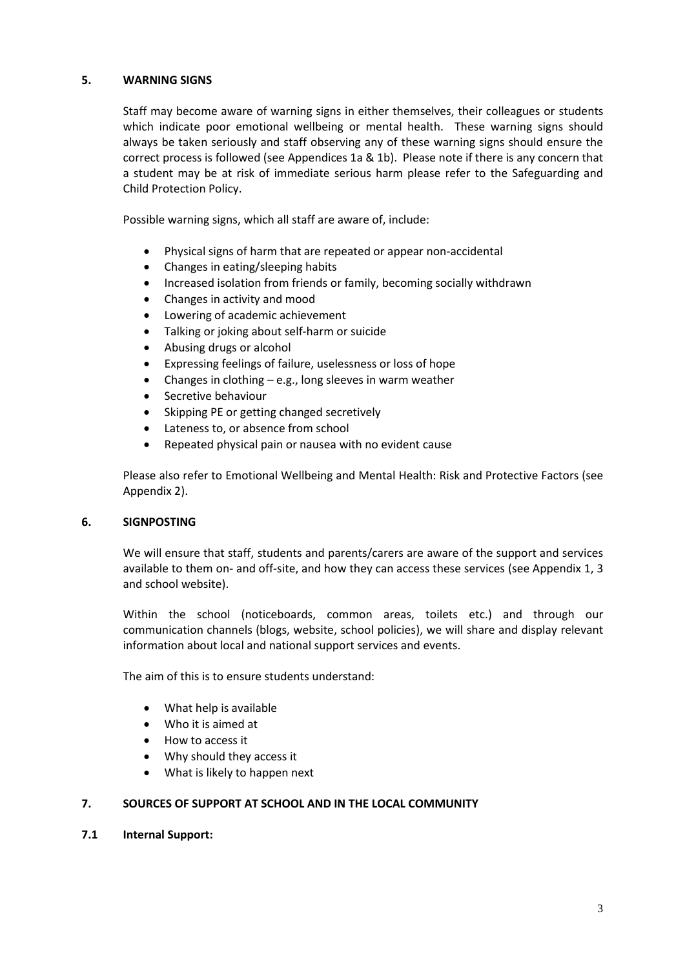## **5. WARNING SIGNS**

Staff may become aware of warning signs in either themselves, their colleagues or students which indicate poor emotional wellbeing or mental health. These warning signs should always be taken seriously and staff observing any of these warning signs should ensure the correct process is followed (see Appendices 1a & 1b). Please note if there is any concern that a student may be at risk of immediate serious harm please refer to the Safeguarding and Child Protection Policy.

Possible warning signs, which all staff are aware of, include:

- Physical signs of harm that are repeated or appear non-accidental
- Changes in eating/sleeping habits
- Increased isolation from friends or family, becoming socially withdrawn
- Changes in activity and mood
- Lowering of academic achievement
- Talking or joking about self-harm or suicide
- Abusing drugs or alcohol
- Expressing feelings of failure, uselessness or loss of hope
- Changes in clothing e.g., long sleeves in warm weather
- Secretive behaviour
- Skipping PE or getting changed secretively
- Lateness to, or absence from school
- Repeated physical pain or nausea with no evident cause

Please also refer to Emotional Wellbeing and Mental Health: Risk and Protective Factors (see Appendix 2).

## **6. SIGNPOSTING**

We will ensure that staff, students and parents/carers are aware of the support and services available to them on- and off-site, and how they can access these services (see Appendix 1, 3 and school website).

Within the school (noticeboards, common areas, toilets etc.) and through our communication channels (blogs, website, school policies), we will share and display relevant information about local and national support services and events.

The aim of this is to ensure students understand:

- What help is available
- Who it is aimed at
- How to access it
- Why should they access it
- What is likely to happen next

## **7. SOURCES OF SUPPORT AT SCHOOL AND IN THE LOCAL COMMUNITY**

## **7.1 Internal Support:**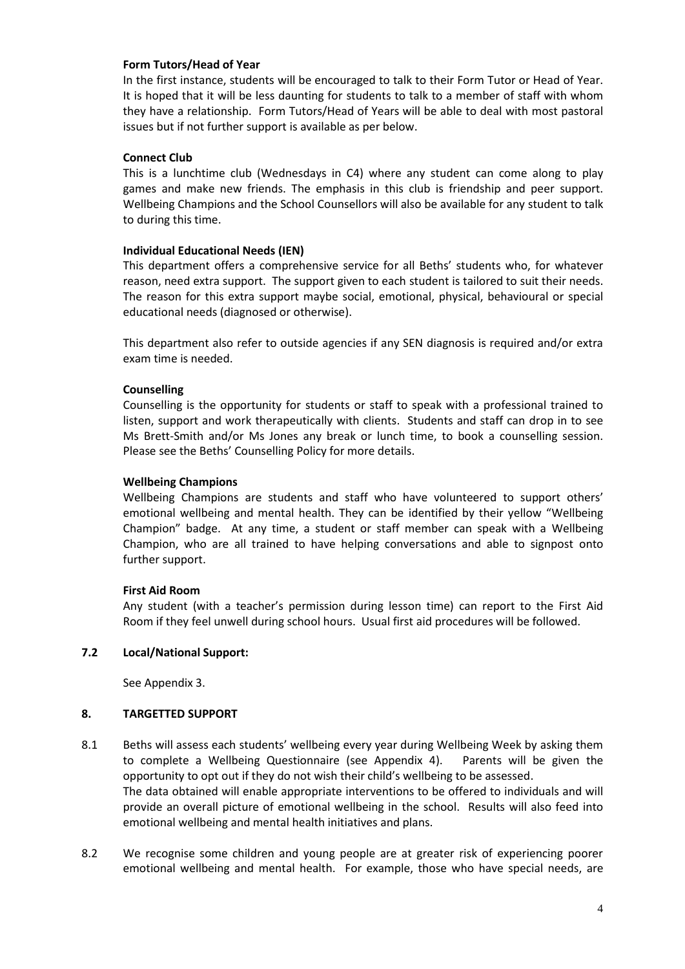## **Form Tutors/Head of Year**

In the first instance, students will be encouraged to talk to their Form Tutor or Head of Year. It is hoped that it will be less daunting for students to talk to a member of staff with whom they have a relationship. Form Tutors/Head of Years will be able to deal with most pastoral issues but if not further support is available as per below.

## **Connect Club**

This is a lunchtime club (Wednesdays in C4) where any student can come along to play games and make new friends. The emphasis in this club is friendship and peer support. Wellbeing Champions and the School Counsellors will also be available for any student to talk to during this time.

## **Individual Educational Needs (IEN)**

This department offers a comprehensive service for all Beths' students who, for whatever reason, need extra support. The support given to each student is tailored to suit their needs. The reason for this extra support maybe social, emotional, physical, behavioural or special educational needs (diagnosed or otherwise).

This department also refer to outside agencies if any SEN diagnosis is required and/or extra exam time is needed.

## **Counselling**

Counselling is the opportunity for students or staff to speak with a professional trained to listen, support and work therapeutically with clients. Students and staff can drop in to see Ms Brett-Smith and/or Ms Jones any break or lunch time, to book a counselling session. Please see the Beths' Counselling Policy for more details.

## **Wellbeing Champions**

Wellbeing Champions are students and staff who have volunteered to support others' emotional wellbeing and mental health. They can be identified by their yellow "Wellbeing Champion" badge. At any time, a student or staff member can speak with a Wellbeing Champion, who are all trained to have helping conversations and able to signpost onto further support.

## **First Aid Room**

Any student (with a teacher's permission during lesson time) can report to the First Aid Room if they feel unwell during school hours. Usual first aid procedures will be followed.

## **7.2 Local/National Support:**

See Appendix 3.

## **8. TARGETTED SUPPORT**

- 8.1 Beths will assess each students' wellbeing every year during Wellbeing Week by asking them to complete a Wellbeing Questionnaire (see Appendix 4). Parents will be given the opportunity to opt out if they do not wish their child's wellbeing to be assessed. The data obtained will enable appropriate interventions to be offered to individuals and will provide an overall picture of emotional wellbeing in the school. Results will also feed into emotional wellbeing and mental health initiatives and plans.
- 8.2 We recognise some children and young people are at greater risk of experiencing poorer emotional wellbeing and mental health. For example, those who have special needs, are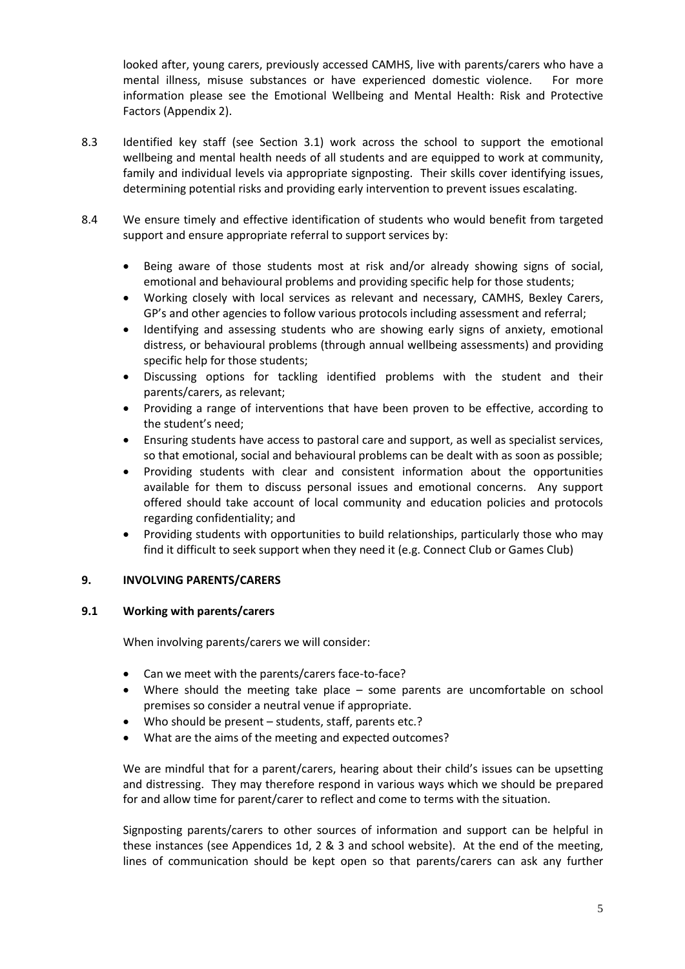looked after, young carers, previously accessed CAMHS, live with parents/carers who have a mental illness, misuse substances or have experienced domestic violence. For more information please see the Emotional Wellbeing and Mental Health: Risk and Protective Factors (Appendix 2).

- 8.3 Identified key staff (see Section 3.1) work across the school to support the emotional wellbeing and mental health needs of all students and are equipped to work at community, family and individual levels via appropriate signposting. Their skills cover identifying issues, determining potential risks and providing early intervention to prevent issues escalating.
- 8.4 We ensure timely and effective identification of students who would benefit from targeted support and ensure appropriate referral to support services by:
	- Being aware of those students most at risk and/or already showing signs of social, emotional and behavioural problems and providing specific help for those students;
	- Working closely with local services as relevant and necessary, CAMHS, Bexley Carers, GP's and other agencies to follow various protocols including assessment and referral;
	- Identifying and assessing students who are showing early signs of anxiety, emotional distress, or behavioural problems (through annual wellbeing assessments) and providing specific help for those students;
	- Discussing options for tackling identified problems with the student and their parents/carers, as relevant;
	- Providing a range of interventions that have been proven to be effective, according to the student's need;
	- Ensuring students have access to pastoral care and support, as well as specialist services, so that emotional, social and behavioural problems can be dealt with as soon as possible;
	- Providing students with clear and consistent information about the opportunities available for them to discuss personal issues and emotional concerns. Any support offered should take account of local community and education policies and protocols regarding confidentiality; and
	- Providing students with opportunities to build relationships, particularly those who may find it difficult to seek support when they need it (e.g. Connect Club or Games Club)

## **9. INVOLVING PARENTS/CARERS**

## **9.1 Working with parents/carers**

When involving parents/carers we will consider:

- Can we meet with the parents/carers face-to-face?
- Where should the meeting take place some parents are uncomfortable on school premises so consider a neutral venue if appropriate.
- Who should be present students, staff, parents etc.?
- What are the aims of the meeting and expected outcomes?

We are mindful that for a parent/carers, hearing about their child's issues can be upsetting and distressing. They may therefore respond in various ways which we should be prepared for and allow time for parent/carer to reflect and come to terms with the situation.

Signposting parents/carers to other sources of information and support can be helpful in these instances (see Appendices 1d, 2 & 3 and school website). At the end of the meeting, lines of communication should be kept open so that parents/carers can ask any further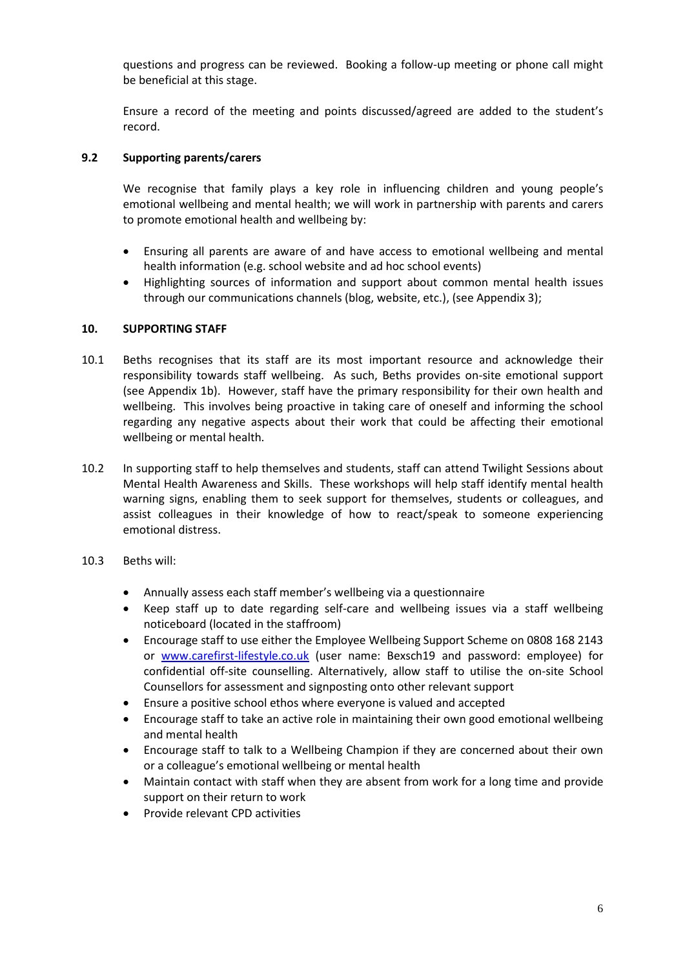questions and progress can be reviewed. Booking a follow-up meeting or phone call might be beneficial at this stage.

Ensure a record of the meeting and points discussed/agreed are added to the student's record.

## **9.2 Supporting parents/carers**

We recognise that family plays a key role in influencing children and young people's emotional wellbeing and mental health; we will work in partnership with parents and carers to promote emotional health and wellbeing by:

- Ensuring all parents are aware of and have access to emotional wellbeing and mental health information (e.g. school website and ad hoc school events)
- Highlighting sources of information and support about common mental health issues through our communications channels (blog, website, etc.), (see Appendix 3);

## **10. SUPPORTING STAFF**

- 10.1 Beths recognises that its staff are its most important resource and acknowledge their responsibility towards staff wellbeing. As such, Beths provides on-site emotional support (see Appendix 1b). However, staff have the primary responsibility for their own health and wellbeing. This involves being proactive in taking care of oneself and informing the school regarding any negative aspects about their work that could be affecting their emotional wellbeing or mental health.
- 10.2 In supporting staff to help themselves and students, staff can attend Twilight Sessions about Mental Health Awareness and Skills. These workshops will help staff identify mental health warning signs, enabling them to seek support for themselves, students or colleagues, and assist colleagues in their knowledge of how to react/speak to someone experiencing emotional distress.
- 10.3 Beths will:
	- Annually assess each staff member's wellbeing via a questionnaire
	- Keep staff up to date regarding self-care and wellbeing issues via a staff wellbeing noticeboard (located in the staffroom)
	- Encourage staff to use either the Employee Wellbeing Support Scheme on 0808 168 2143 or [www.carefirst-lifestyle.co.uk](http://www.carefirst-lifestyle.co.uk/) (user name: Bexsch19 and password: employee) for confidential off-site counselling. Alternatively, allow staff to utilise the on-site School Counsellors for assessment and signposting onto other relevant support
	- Ensure a positive school ethos where everyone is valued and accepted
	- Encourage staff to take an active role in maintaining their own good emotional wellbeing and mental health
	- Encourage staff to talk to a Wellbeing Champion if they are concerned about their own or a colleague's emotional wellbeing or mental health
	- Maintain contact with staff when they are absent from work for a long time and provide support on their return to work
	- Provide relevant CPD activities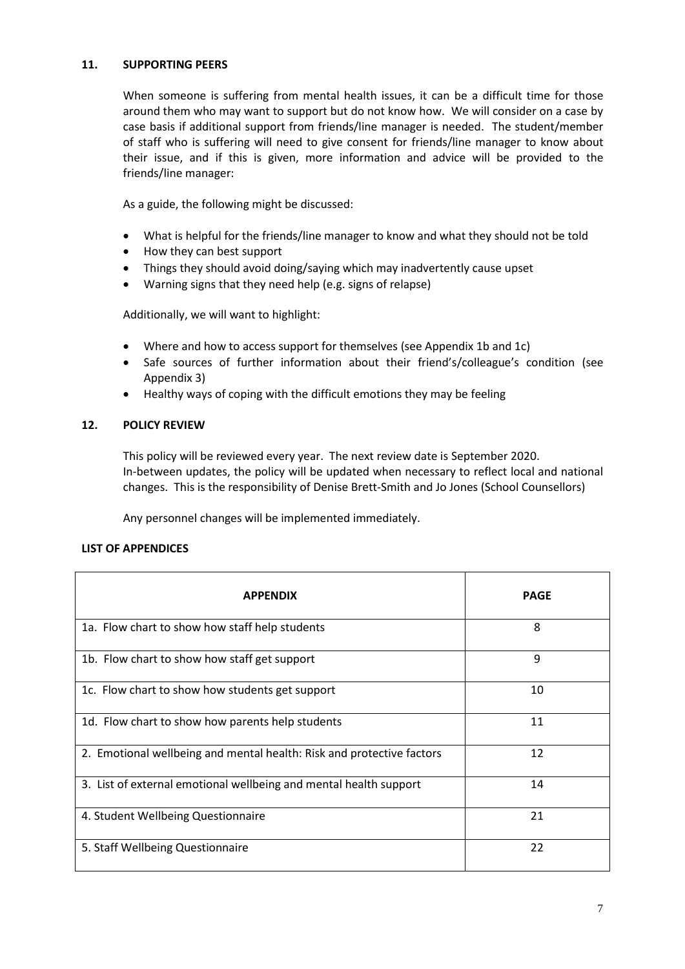## **11. SUPPORTING PEERS**

When someone is suffering from mental health issues, it can be a difficult time for those around them who may want to support but do not know how. We will consider on a case by case basis if additional support from friends/line manager is needed. The student/member of staff who is suffering will need to give consent for friends/line manager to know about their issue, and if this is given, more information and advice will be provided to the friends/line manager:

As a guide, the following might be discussed:

- What is helpful for the friends/line manager to know and what they should not be told
- How they can best support
- Things they should avoid doing/saying which may inadvertently cause upset
- Warning signs that they need help (e.g. signs of relapse)

Additionally, we will want to highlight:

- Where and how to access support for themselves (see Appendix 1b and 1c)
- Safe sources of further information about their friend's/colleague's condition (see Appendix 3)
- Healthy ways of coping with the difficult emotions they may be feeling

## **12. POLICY REVIEW**

This policy will be reviewed every year. The next review date is September 2020. In-between updates, the policy will be updated when necessary to reflect local and national changes. This is the responsibility of Denise Brett-Smith and Jo Jones (School Counsellors)

Any personnel changes will be implemented immediately.

## **LIST OF APPENDICES**

| <b>APPFNDIX</b>                                                       | <b>PAGE</b> |
|-----------------------------------------------------------------------|-------------|
| 1a. Flow chart to show how staff help students                        | 8           |
| 1b. Flow chart to show how staff get support                          | 9           |
| 1c. Flow chart to show how students get support                       | 10          |
| 1d. Flow chart to show how parents help students                      | 11          |
| 2. Emotional wellbeing and mental health: Risk and protective factors | 12          |
| 3. List of external emotional wellbeing and mental health support     | 14          |
| 4. Student Wellbeing Questionnaire                                    | 21          |
| 5. Staff Wellbeing Questionnaire                                      | 22          |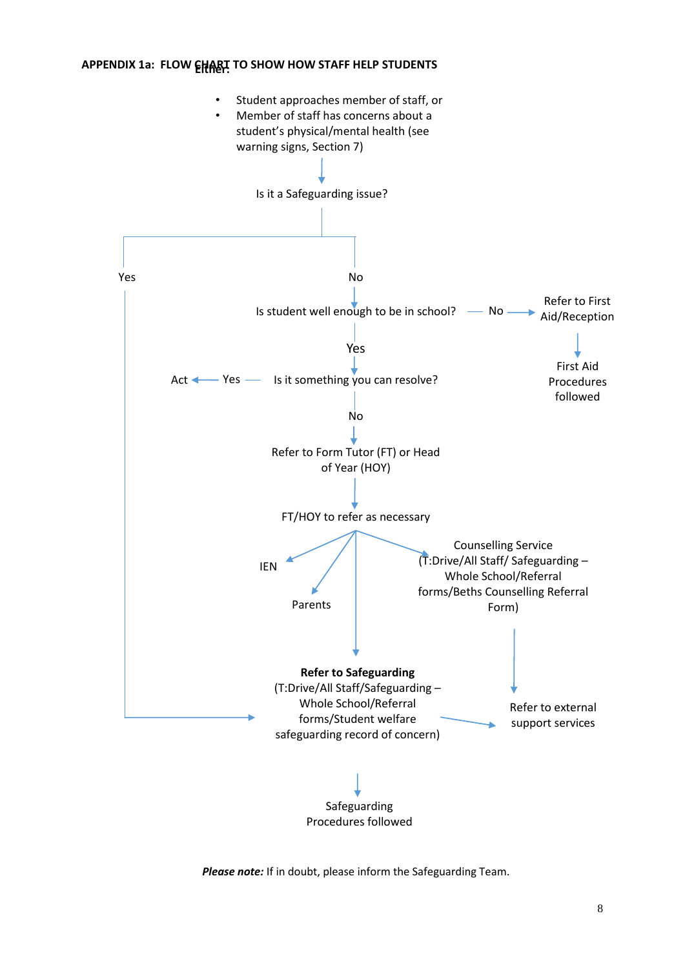## **APPENDIX 1a: FLOW EHART TO SHOW HOW STAFF HELP STUDENTS**



*Please note:* If in doubt, please inform the Safeguarding Team.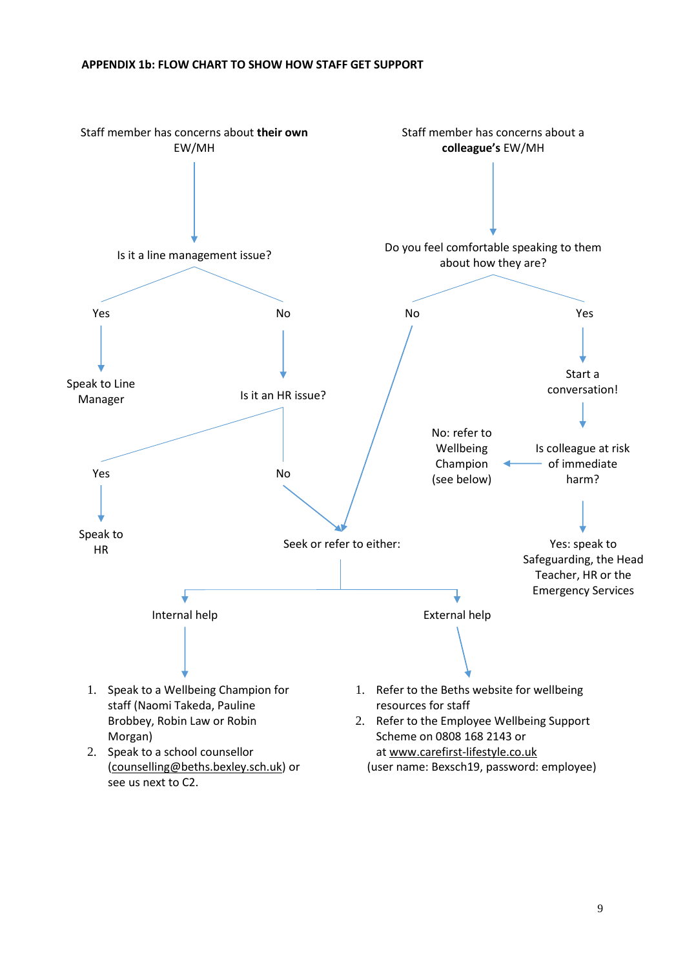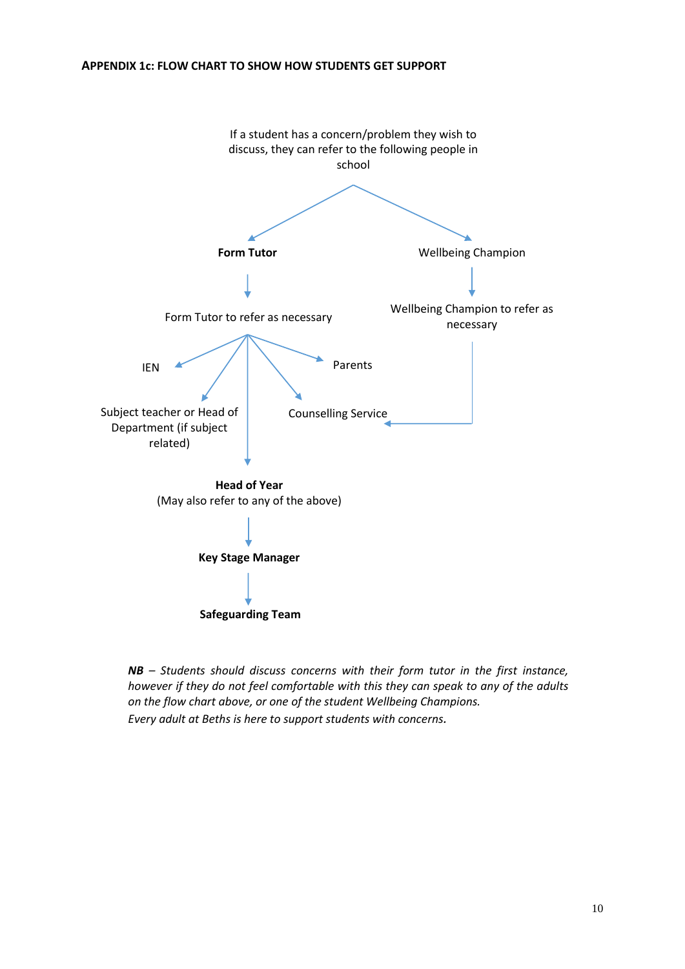## **APPENDIX 1c: FLOW CHART TO SHOW HOW STUDENTS GET SUPPORT**



*NB – Students should discuss concerns with their form tutor in the first instance, however if they do not feel comfortable with this they can speak to any of the adults on the flow chart above, or one of the student Wellbeing Champions. Every adult at Beths is here to support students with concerns.*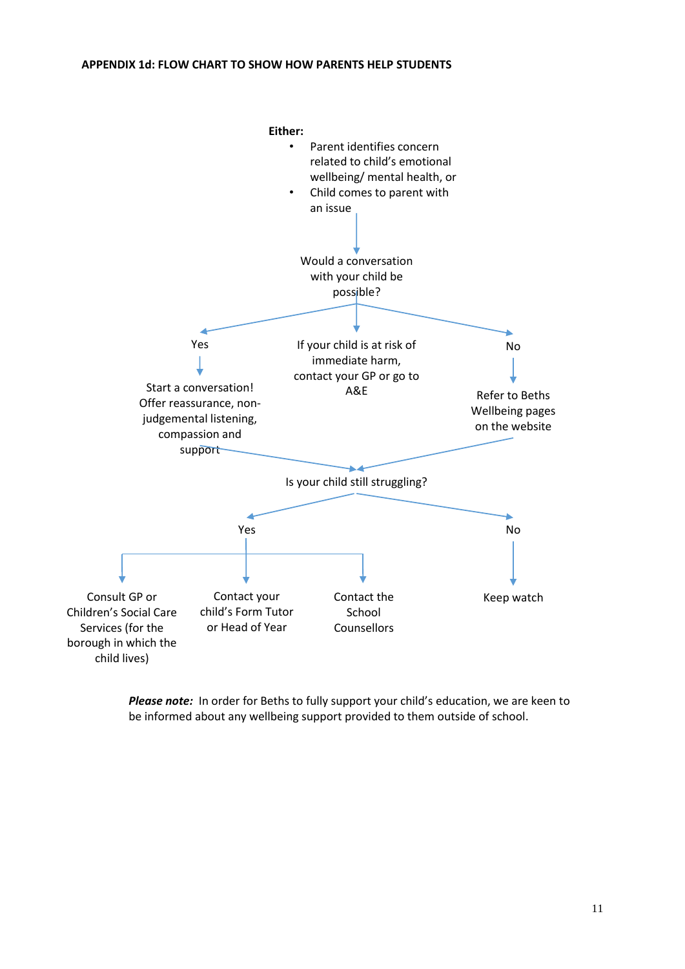

*Please note:* In order for Beths to fully support your child's education, we are keen to be informed about any wellbeing support provided to them outside of school.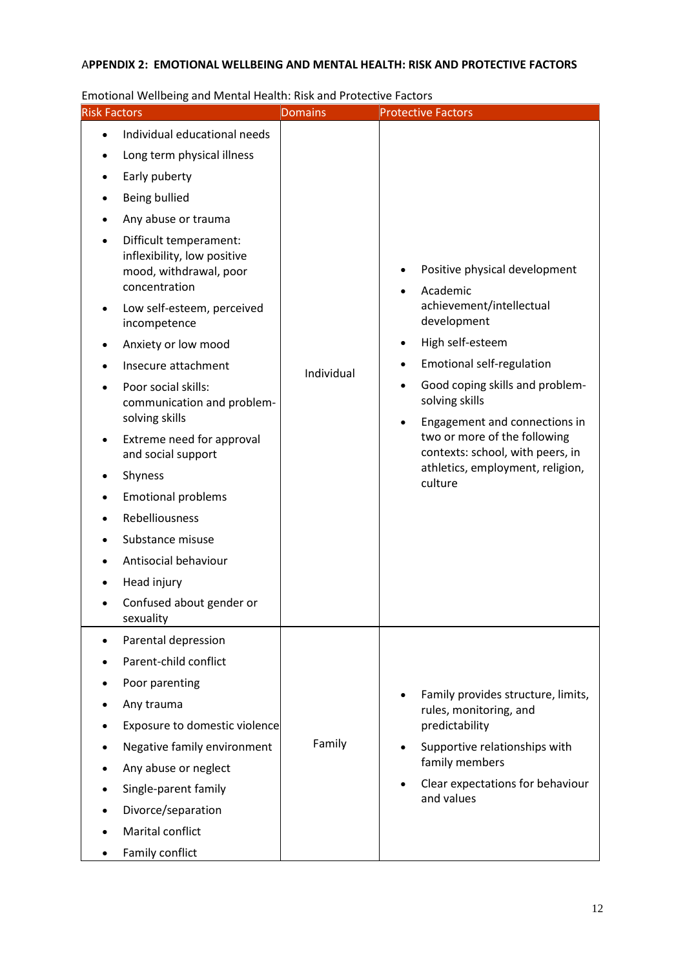## A**PPENDIX 2: EMOTIONAL WELLBEING AND MENTAL HEALTH: RISK AND PROTECTIVE FACTORS**

| Emotional Wellbeing and Mental Health: Risk and Protective Factors<br><b>Risk Factors</b>                                                                                                                                                                                                                                                                                                                                                                                                                                                                                                                                                                              | <b>Domains</b> | <b>Protective Factors</b>                                                                                                                                                                                                                                                                                                                                          |
|------------------------------------------------------------------------------------------------------------------------------------------------------------------------------------------------------------------------------------------------------------------------------------------------------------------------------------------------------------------------------------------------------------------------------------------------------------------------------------------------------------------------------------------------------------------------------------------------------------------------------------------------------------------------|----------------|--------------------------------------------------------------------------------------------------------------------------------------------------------------------------------------------------------------------------------------------------------------------------------------------------------------------------------------------------------------------|
| Individual educational needs<br>$\bullet$<br>Long term physical illness<br>٠<br>Early puberty<br>٠<br>Being bullied<br>٠<br>Any abuse or trauma<br>Difficult temperament:<br>inflexibility, low positive<br>mood, withdrawal, poor<br>concentration<br>Low self-esteem, perceived<br>$\bullet$<br>incompetence<br>Anxiety or low mood<br>Insecure attachment<br>Poor social skills:<br>communication and problem-<br>solving skills<br>Extreme need for approval<br>$\bullet$<br>and social support<br>Shyness<br>٠<br><b>Emotional problems</b><br>Rebelliousness<br>Substance misuse<br>Antisocial behaviour<br>Head injury<br>Confused about gender or<br>sexuality | Individual     | Positive physical development<br>Academic<br>achievement/intellectual<br>development<br>High self-esteem<br><b>Emotional self-regulation</b><br>Good coping skills and problem-<br>solving skills<br>Engagement and connections in<br>$\bullet$<br>two or more of the following<br>contexts: school, with peers, in<br>athletics, employment, religion,<br>culture |
| Parental depression<br>Parent-child conflict<br>Poor parenting<br>Any trauma<br>Exposure to domestic violence<br>Negative family environment<br>Any abuse or neglect<br>Single-parent family<br>Divorce/separation<br>Marital conflict<br>Family conflict                                                                                                                                                                                                                                                                                                                                                                                                              | Family         | Family provides structure, limits,<br>rules, monitoring, and<br>predictability<br>Supportive relationships with<br>family members<br>Clear expectations for behaviour<br>and values                                                                                                                                                                                |

Emotional Wellbeing and Mental Health: Risk and Protective Factors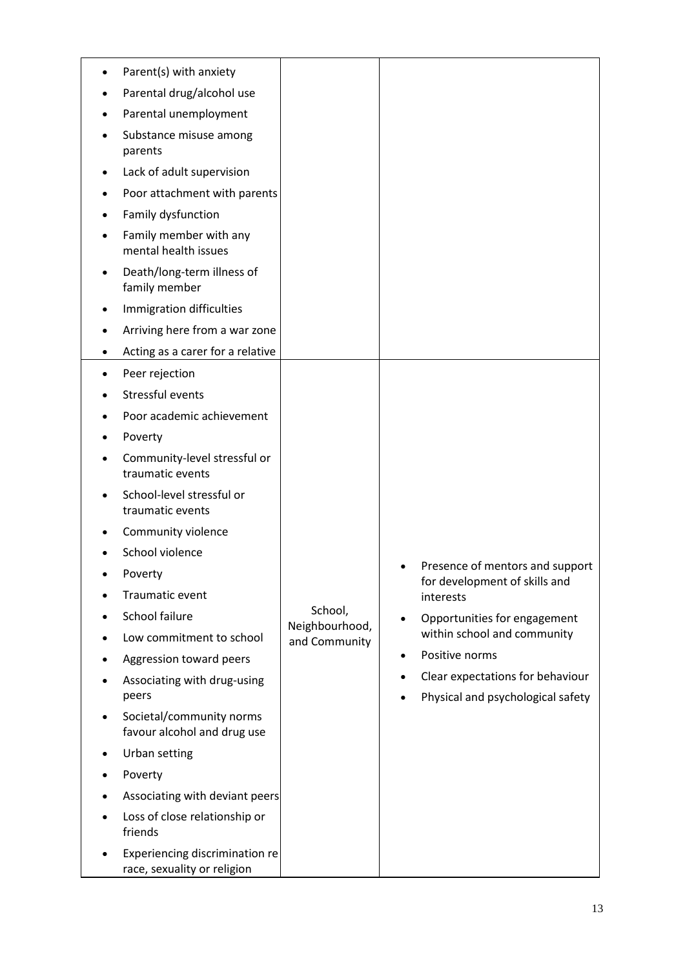|   | Parent(s) with anxiety                                        |                           |                                                                            |
|---|---------------------------------------------------------------|---------------------------|----------------------------------------------------------------------------|
|   | Parental drug/alcohol use                                     |                           |                                                                            |
|   | Parental unemployment                                         |                           |                                                                            |
|   | Substance misuse among<br>parents                             |                           |                                                                            |
|   | Lack of adult supervision                                     |                           |                                                                            |
|   | Poor attachment with parents                                  |                           |                                                                            |
|   | Family dysfunction                                            |                           |                                                                            |
|   | Family member with any<br>mental health issues                |                           |                                                                            |
| ٠ | Death/long-term illness of<br>family member                   |                           |                                                                            |
|   | Immigration difficulties                                      |                           |                                                                            |
|   | Arriving here from a war zone                                 |                           |                                                                            |
| ٠ | Acting as a carer for a relative                              |                           |                                                                            |
|   | Peer rejection                                                |                           |                                                                            |
|   | Stressful events                                              |                           |                                                                            |
|   | Poor academic achievement                                     |                           |                                                                            |
|   | Poverty                                                       |                           |                                                                            |
|   | Community-level stressful or<br>traumatic events              |                           |                                                                            |
|   | School-level stressful or<br>traumatic events                 |                           |                                                                            |
|   | Community violence                                            |                           |                                                                            |
|   | School violence                                               |                           |                                                                            |
|   | Poverty                                                       |                           | Presence of mentors and support<br>for development of skills and           |
|   | Traumatic event                                               |                           | interests                                                                  |
|   | School failure                                                | School,<br>Neighbourhood, | Opportunities for engagement<br>٠                                          |
|   | Low commitment to school                                      | and Community             | within school and community                                                |
|   | Aggression toward peers                                       |                           | Positive norms<br>$\bullet$                                                |
|   | Associating with drug-using<br>peers                          |                           | Clear expectations for behaviour<br>٠<br>Physical and psychological safety |
|   | Societal/community norms<br>favour alcohol and drug use       |                           |                                                                            |
|   | Urban setting                                                 |                           |                                                                            |
|   | Poverty                                                       |                           |                                                                            |
|   | Associating with deviant peers                                |                           |                                                                            |
|   | Loss of close relationship or<br>friends                      |                           |                                                                            |
|   | Experiencing discrimination re<br>race, sexuality or religion |                           |                                                                            |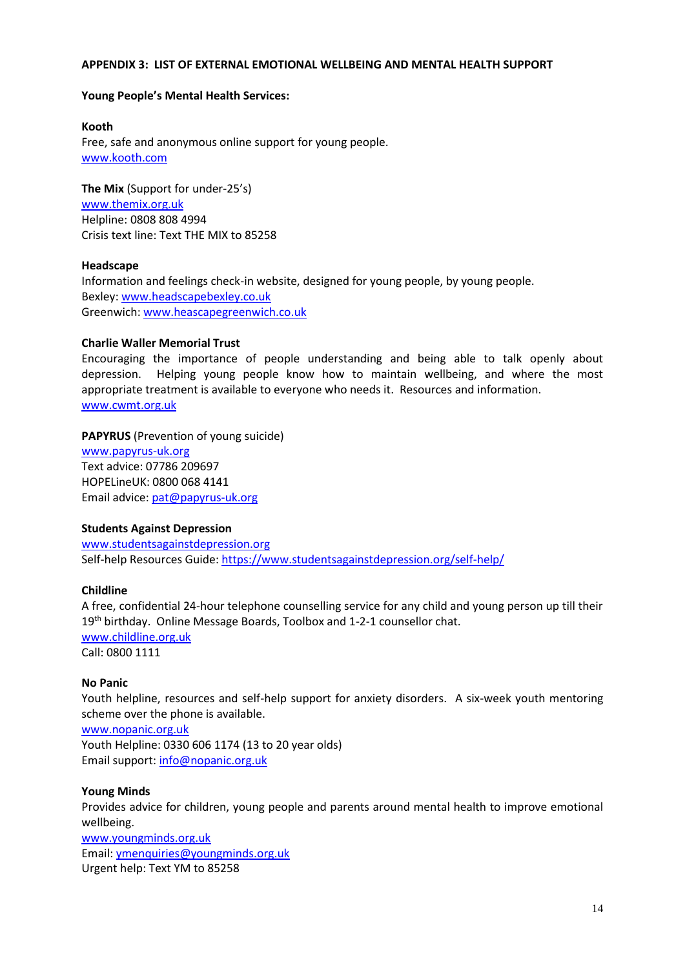#### **APPENDIX 3: LIST OF EXTERNAL EMOTIONAL WELLBEING AND MENTAL HEALTH SUPPORT**

#### **Young People's Mental Health Services:**

**Kooth**  Free, safe and anonymous online support for young people. [www.kooth.com](http://www.kooth.com/)

**The Mix** (Support for under-25's) [www.themix.org.uk](http://www.themix.org.uk/) Helpline: 0808 808 4994 Crisis text line: Text THE MIX to 85258

#### **Headscape**

Information and feelings check-in website, designed for young people, by young people. Bexley[: www.headscapebexley.co.uk](http://www.headscapebexley.co.uk/) Greenwich[: www.heascapegreenwich.co.uk](http://www.heascapegreenwich.co.uk/)

#### **Charlie Waller Memorial Trust**

Encouraging the importance of people understanding and being able to talk openly about depression. Helping young people know how to maintain wellbeing, and where the most appropriate treatment is available to everyone who needs it. Resources and information. [www.cwmt.org.uk](http://www.cwmt.org.uk/)

#### **PAPYRUS** (Prevention of young suicide)

[www.papyrus-uk.org](http://www.papyrus-uk.org/) Text advice: 07786 209697 HOPELineUK: 0800 068 4141 Email advice: [pat@papyrus-uk.org](mailto:pat@papyrus-uk.org)

#### **Students Against Depression**

[www.studentsagainstdepression.org](http://www.studentsagainstdepression.org/) Self-help Resources Guide[: https://www.studentsagainstdepression.org/self-help/](https://www.studentsagainstdepression.org/self-help/)

## **Childline**

A free, confidential 24-hour telephone counselling service for any child and young person up till their 19<sup>th</sup> birthday. Online Message Boards, Toolbox and 1-2-1 counsellor chat. [www.childline.org.uk](http://www.childline.org.uk/) Call: 0800 1111

#### **No Panic**

Youth helpline, resources and self-help support for anxiety disorders. A six-week youth mentoring scheme over the phone is available.

[www.nopanic.org.uk](http://www.nopanic.org.uk/)

Youth Helpline: 0330 606 1174 (13 to 20 year olds) Email support: [info@nopanic.org.uk](mailto:info@nopanic.org.uk)

## **Young Minds**

Provides advice for children, young people and parents around mental health to improve emotional wellbeing. [www.youngminds.org.uk](http://www.youngminds.org.uk/)

Email: [ymenquiries@youngminds.org.uk](mailto:ymenquiries@youngminds.org.uk) Urgent help: Text YM to 85258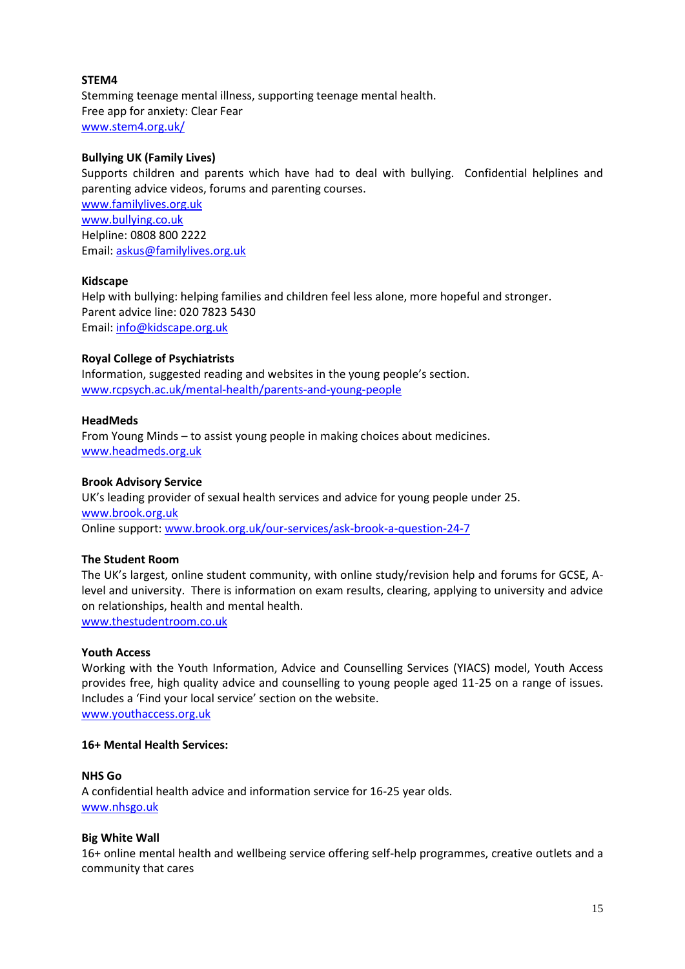## **STEM4**

Stemming teenage mental illness, supporting teenage mental health. Free app for anxiety: Clear Fear [www.stem4.org.uk/](http://www.stem4.org.uk/)

## **Bullying UK (Family Lives)**

Supports children and parents which have had to deal with bullying. Confidential helplines and parenting advice videos, forums and parenting courses. [www.familylives.org.uk](http://www.familylives.org.uk/) [www.bullying.co.uk](http://www.bullying.co.uk/) Helpline: 0808 800 2222

Email: [askus@familylives.org.uk](mailto:askus@familylives.org.uk)

## **Kidscape**

Help with bullying: helping families and children feel less alone, more hopeful and stronger. Parent advice line: 020 7823 5430 Email: [info@kidscape.org.uk](mailto:info@kidscape.org.uk)

## **Royal College of Psychiatrists**

Information, suggested reading and websites in the young people's section. [www.rcpsych.ac.uk/mental-health/parents-and-young-people](http://www.rcpsych.ac.uk/mental-health/parents-and-young-people)

## **HeadMeds**

From Young Minds – to assist young people in making choices about medicines. [www.headmeds.org.uk](http://www.headmeds.org.uk/)

## **Brook Advisory Service**

UK's leading provider of sexual health services and advice for young people under 25. [www.brook.org.uk](http://www.brook.org.uk/) Online support: [www.brook.org.uk/our-services/ask-brook-a-question-24-7](http://www.brook.org.uk/our-services/ask-brook-a-question-24-7)

## **The Student Room**

The UK's largest, online student community, with online study/revision help and forums for GCSE, Alevel and university. There is information on exam results, clearing, applying to university and advice on relationships, health and mental health. [www.thestudentroom.co.uk](http://www.thestudentroom.co.uk/)

## **Youth Access**

Working with the Youth Information, Advice and Counselling Services (YIACS) model, Youth Access provides free, high quality advice and counselling to young people aged 11-25 on a range of issues. Includes a 'Find your local service' section on the website. [www.youthaccess.org.uk](http://www.youthaccess.org.uk/)

## **16+ Mental Health Services:**

## **NHS Go**

A confidential health advice and information service for 16-25 year olds. [www.nhsgo.uk](http://www.nhsgo.uk/)

## **Big White Wall**

16+ online mental health and wellbeing service offering self-help programmes, creative outlets and a community that cares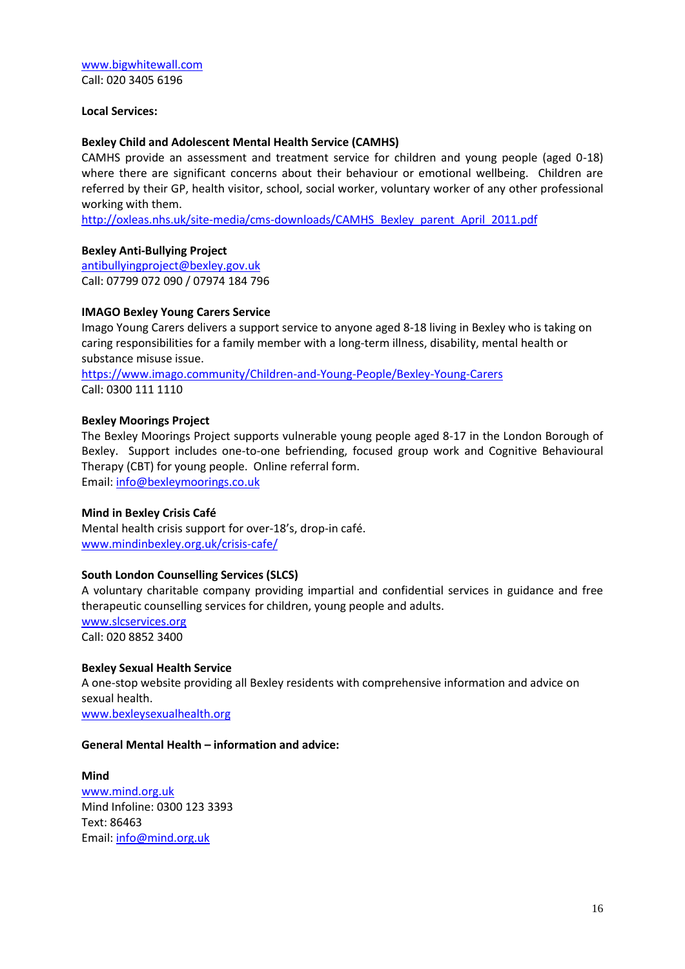[www.bigwhitewall.com](http://www.bigwhitewall.com/) Call: 020 3405 6196

#### **Local Services:**

#### **Bexley Child and Adolescent Mental Health Service (CAMHS)**

CAMHS provide an assessment and treatment service for children and young people (aged 0-18) where there are significant concerns about their behaviour or emotional wellbeing. Children are referred by their GP, health visitor, school, social worker, voluntary worker of any other professional working with them.

[http://oxleas.nhs.uk/site-media/cms-downloads/CAMHS\\_Bexley\\_parent\\_April\\_2011.pdf](http://oxleas.nhs.uk/site-media/cms-downloads/CAMHS_Bexley_parent_April_2011.pdf)

## **Bexley Anti-Bullying Project**

[antibullyingproject@bexley.gov.uk](mailto:antibullyingproject@bexley.gov.uk) Call: 07799 072 090 / 07974 184 796

#### **IMAGO Bexley Young Carers Service**

Imago Young Carers delivers a support service to anyone aged 8-18 living in Bexley who is taking on caring responsibilities for a family member with a long-term illness, disability, mental health or substance misuse issue.

<https://www.imago.community/Children-and-Young-People/Bexley-Young-Carers> Call: 0300 111 1110

#### **Bexley Moorings Project**

The Bexley Moorings Project supports vulnerable young people aged 8-17 in the London Borough of Bexley. Support includes one-to-one befriending, focused group work and Cognitive Behavioural Therapy (CBT) for young people. Online referral form.

Email: [info@bexleymoorings.co.uk](mailto:info@bexleymoorings.co.uk)

#### **Mind in Bexley Crisis Café**

Mental health crisis support for over-18's, drop-in café. [www.mindinbexley.org.uk/crisis-cafe/](http://www.mindinbexley.org.uk/crisis-cafe/)

#### **South London Counselling Services (SLCS)**

A voluntary charitable company providing impartial and confidential services in guidance and free therapeutic counselling services for children, young people and adults.

[www.slcservices.org](http://www.slcservices.org/) Call: 020 8852 3400

#### **Bexley Sexual Health Service**

A one-stop website providing all Bexley residents with comprehensive information and advice on sexual health.

[www.bexleysexualhealth.org](http://www.bexleysexualhealth.org/)

#### **General Mental Health – information and advice:**

**Mind** [www.mind.org.uk](http://www.mind.org.uk/) Mind Infoline: 0300 123 3393 Text: 86463 Email: [info@mind.org.uk](mailto:info@mind.org.uk)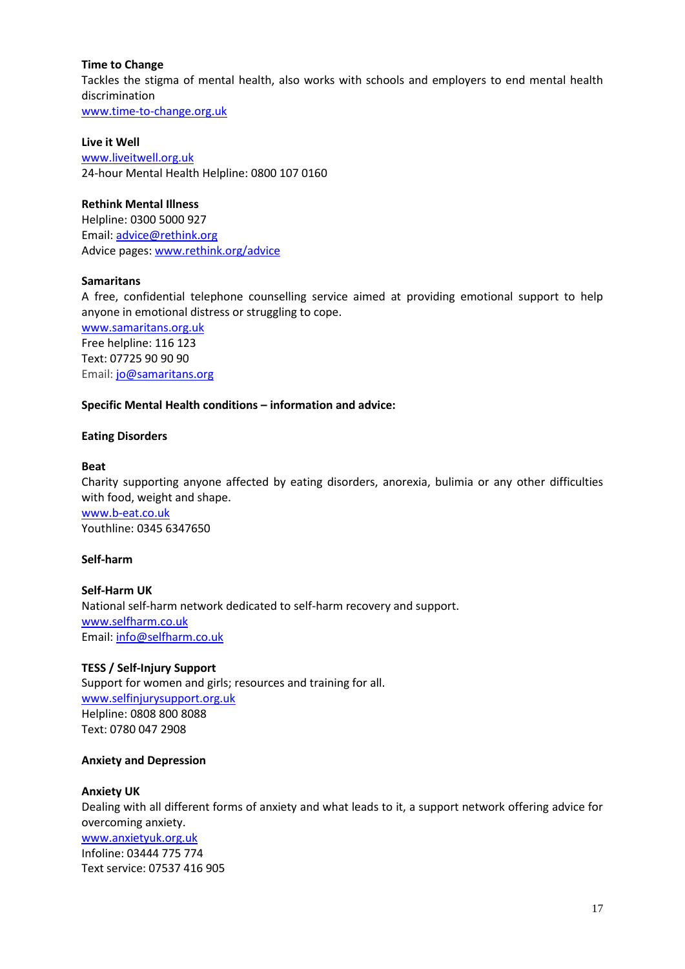## **Time to Change**

Tackles the stigma of mental health, also works with schools and employers to end mental health discrimination

[www.time-to-change.org.uk](http://www.time-to-change.org.uk/)

#### **Live it Well**

[www.liveitwell.org.uk](http://www.liveitwell.org.uk/) 24-hour Mental Health Helpline: 0800 107 0160

## **Rethink Mental Illness**

Helpline: 0300 5000 927 Email: [advice@rethink.org](mailto:advice@rethink.org) Advice pages[: www.rethink.org/advice](http://www.rethink.org/advice)

## **Samaritans**

A free, confidential telephone counselling service aimed at providing emotional support to help anyone in emotional distress or struggling to cope.

[www.samaritans.org.uk](http://www.samaritans.org.uk/) Free helpline: 116 123 Text: 07725 90 90 90 Email: [jo@samaritans.org](mailto:jo@samaritans.org)

## **Specific Mental Health conditions – information and advice:**

## **Eating Disorders**

## **Beat**

Charity supporting anyone affected by eating disorders, anorexia, bulimia or any other difficulties with food, weight and shape. [www.b-eat.co.uk](http://www.b-eat.co.uk/) Youthline: 0345 6347650

## **Self-harm**

**Self-Harm UK** National self-harm network dedicated to self-harm recovery and support. [www.selfharm.co.uk](http://www.selfharm.co.uk/) Email: [info@selfharm.co.uk](mailto:info@selfharm.co.uk)

## **TESS / Self-Injury Support**

Support for women and girls; resources and training for all. [www.selfinjurysupport.org.uk](http://www.selfinjurysupport.org.uk/) Helpline: 0808 800 8088 Text: 0780 047 2908

## **Anxiety and Depression**

## **Anxiety UK**

Dealing with all different forms of anxiety and what leads to it, a support network offering advice for overcoming anxiety. [www.anxietyuk.org.uk](http://www.anxietyuk.org.uk/) Infoline: 03444 775 774 Text service: 07537 416 905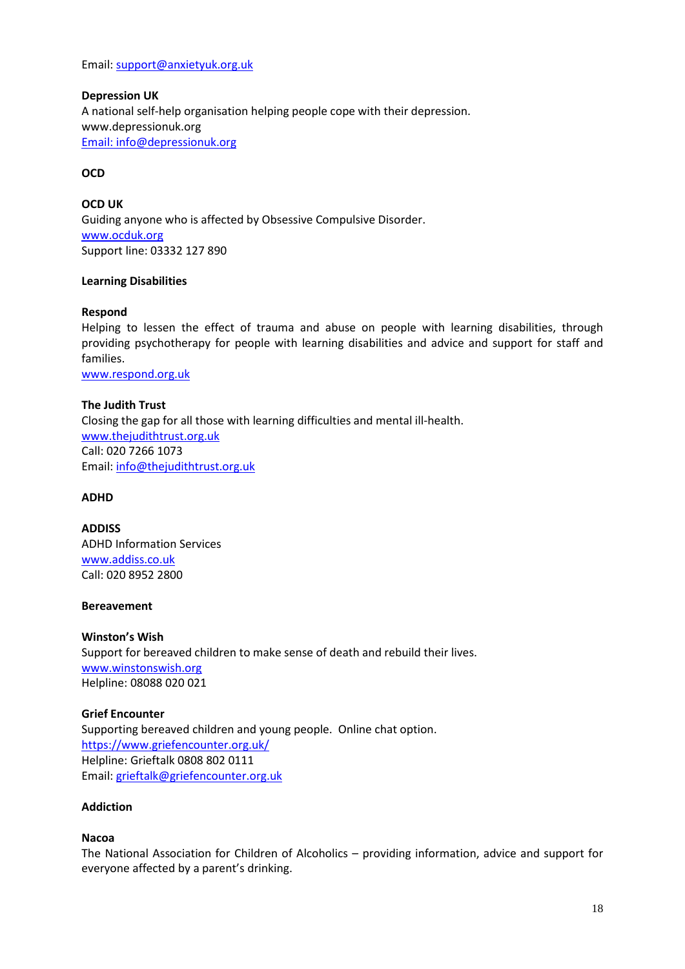Email: [support@anxietyuk.org.uk](mailto:support@anxietyuk.org.uk)

**Depression UK** A national self-help organisation helping people cope with their depression. [www.depressionuk.org](http://www.depressionuk.org/) Email: [info@depressionuk.org](mailto:info@depressionuk.org)

## **OCD**

**OCD UK** Guiding anyone who is affected by Obsessive Compulsive Disorder. [www.ocduk.org](http://www.ocduk.org/) Support line: 03332 127 890

## **Learning Disabilities**

#### **Respond**

Helping to lessen the effect of trauma and abuse on people with learning disabilities, through providing psychotherapy for people with learning disabilities and advice and support for staff and families.

[www.respond.org.uk](http://www.respond.org.uk/)

**The Judith Trust** Closing the gap for all those with learning difficulties and mental ill-health. [www.thejudithtrust.org.uk](http://www.thejudithtrust.org.uk/) Call: 020 7266 1073 Email: [info@thejudithtrust.org.uk](mailto:info@thejudithtrust.org.uk)

## **ADHD**

**ADDISS** ADHD Information Services [www.addiss.co.uk](http://www.addiss.co.uk/) Call: 020 8952 2800

#### **Bereavement**

**Winston's Wish** Support for bereaved children to make sense of death and rebuild their lives. [www.winstonswish.org](http://www.winstonswish.org/) Helpline: 08088 020 021

## **Grief Encounter**

Supporting bereaved children and young people. Online chat option. <https://www.griefencounter.org.uk/> Helpline: Grieftalk 0808 802 0111 Email: [grieftalk@griefencounter.org.uk](mailto:grieftalk@griefencounter.org.uk)

## **Addiction**

#### **Nacoa**

The National Association for Children of Alcoholics – providing information, advice and support for everyone affected by a parent's drinking.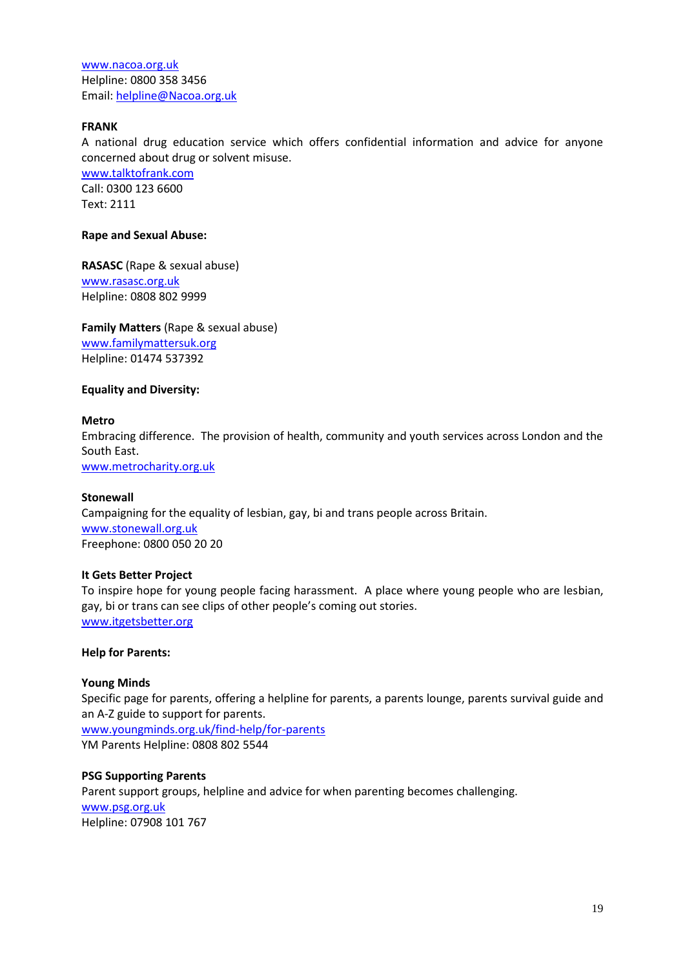[www.nacoa.org.uk](http://www.nacoa.org.uk/) Helpline: 0800 358 3456 Email: [helpline@Nacoa.org.uk](mailto:helpline@Nacoa.org.uk)

## **FRANK**

A national drug education service which offers confidential information and advice for anyone concerned about drug or solvent misuse.

[www.talktofrank.com](http://www.talktofrank.com/) Call: 0300 123 6600 Text: 2111

#### **Rape and Sexual Abuse:**

**RASASC** (Rape & sexual abuse) [www.rasasc.org.uk](http://www.rasasc.org.uk/) Helpline: 0808 802 9999

**Family Matters** (Rape & sexual abuse) [www.familymattersuk.org](http://www.familymattersuk.org/) Helpline: 01474 537392

#### **Equality and Diversity:**

#### **Metro**

Embracing difference. The provision of health, community and youth services across London and the South East.

www.metrocharity.org.uk

#### **Stonewall**

Campaigning for the equality of lesbian, gay, bi and trans people across Britain. [www.stonewall.org.uk](http://www.stonewall.org.uk/) Freephone: 0800 050 20 20

## **It Gets Better Project**

To inspire hope for young people facing harassment. A place where young people who are lesbian, gay, bi or trans can see clips of other people's coming out stories. [www.itgetsbetter.org](http://www.itgetsbetter.org/)

#### **Help for Parents:**

## **Young Minds**

Specific page for parents, offering a helpline for parents, a parents lounge, parents survival guide and an A-Z guide to support for parents. [www.youngminds.org.uk/find-help/for-parents](http://www.youngminds.org.uk/find-help/for-parents) YM Parents Helpline: 0808 802 5544

#### **PSG Supporting Parents**

Parent support groups, helpline and advice for when parenting becomes challenging. [www.psg.org.uk](http://www.psg.org.uk/) Helpline: 07908 101 767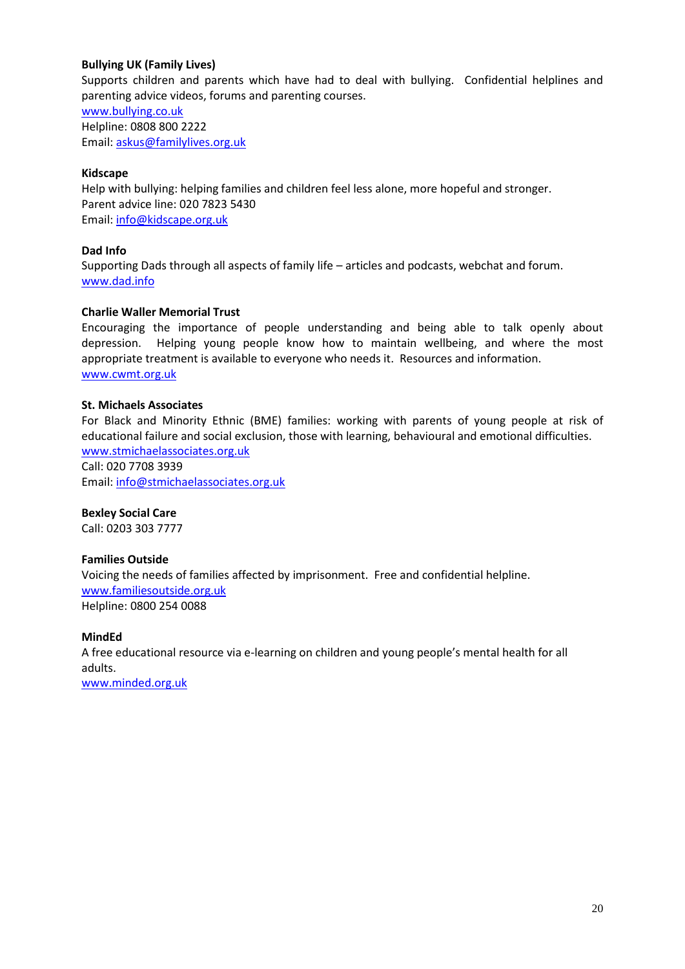## **Bullying UK (Family Lives)**

Supports children and parents which have had to deal with bullying. Confidential helplines and parenting advice videos, forums and parenting courses.

[www.bullying.co.uk](http://www.bullying.co.uk/) Helpline: 0808 800 2222 Email: [askus@familylives.org.uk](mailto:askus@familylives.org.uk)

## **Kidscape**

Help with bullying: helping families and children feel less alone, more hopeful and stronger. Parent advice line: 020 7823 5430 Email: [info@kidscape.org.uk](mailto:info@kidscape.org.uk)

## **Dad Info**

Supporting Dads through all aspects of family life – articles and podcasts, webchat and forum. [www.dad.info](http://www.dad.info/)

## **Charlie Waller Memorial Trust**

Encouraging the importance of people understanding and being able to talk openly about depression. Helping young people know how to maintain wellbeing, and where the most appropriate treatment is available to everyone who needs it. Resources and information. [www.cwmt.org.uk](http://www.cwmt.org.uk/)

## **St. Michaels Associates**

For Black and Minority Ethnic (BME) families: working with parents of young people at risk of educational failure and social exclusion, those with learning, behavioural and emotional difficulties. [www.stmichaelassociates.org.uk](http://www.stmichaelassociates.org.uk/)

Call: 020 7708 3939 Email: [info@stmichaelassociates.org.uk](mailto:info@stmichaelassociates.org.uk)

## **Bexley Social Care**

Call: 0203 303 7777

## **Families Outside**

Voicing the needs of families affected by imprisonment. Free and confidential helpline. [www.familiesoutside.org.uk](http://www.familiesoutside.org.uk/) Helpline: 0800 254 0088

## **MindEd**

A free educational resource via e-learning on children and young people's mental health for all adults.

[www.minded.org.uk](http://www.minded.org.uk/)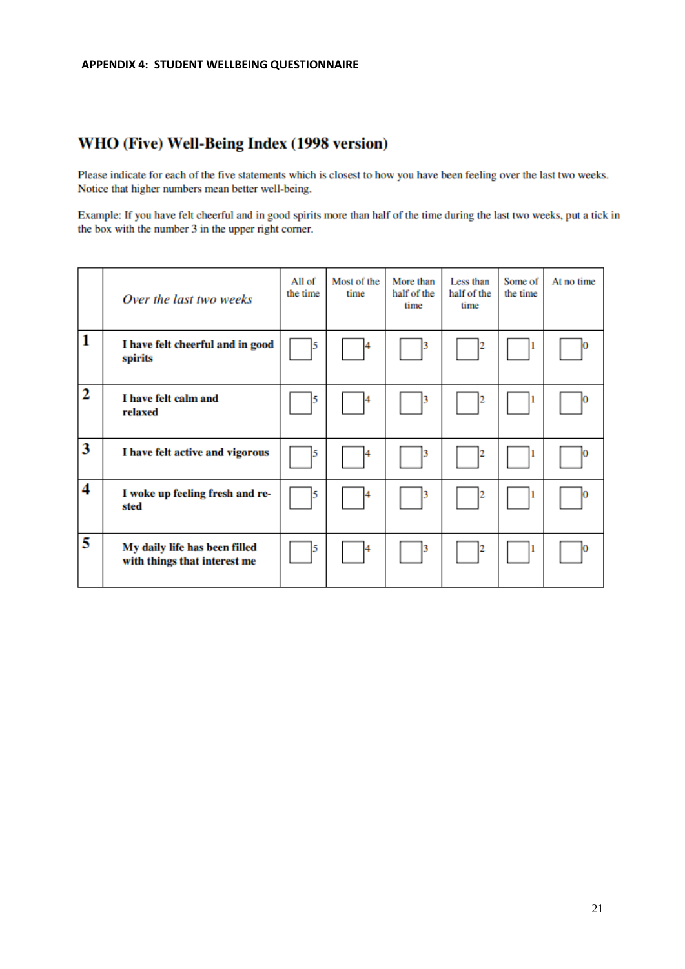## WHO (Five) Well-Being Index (1998 version)

Please indicate for each of the five statements which is closest to how you have been feeling over the last two weeks. Notice that higher numbers mean better well-being.

Example: If you have felt cheerful and in good spirits more than half of the time during the last two weeks, put a tick in the box with the number 3 in the upper right corner.

|   | Over the last two weeks                                       | All of<br>the time | Most of the<br>time | More than<br>half of the<br>time | Less than<br>half of the<br>time | Some of<br>the time | At no time |
|---|---------------------------------------------------------------|--------------------|---------------------|----------------------------------|----------------------------------|---------------------|------------|
| 1 | I have felt cheerful and in good<br>spirits                   | 15                 |                     |                                  |                                  |                     |            |
| 2 | I have felt calm and<br>relaxed                               | $\vert 5 \vert$    |                     |                                  |                                  |                     |            |
| 3 | I have felt active and vigorous                               | 5                  |                     |                                  |                                  | н                   |            |
| 4 | I woke up feeling fresh and re-<br>sted                       | 15                 |                     |                                  |                                  |                     |            |
| 5 | My daily life has been filled<br>with things that interest me | 15                 |                     |                                  |                                  | п                   |            |